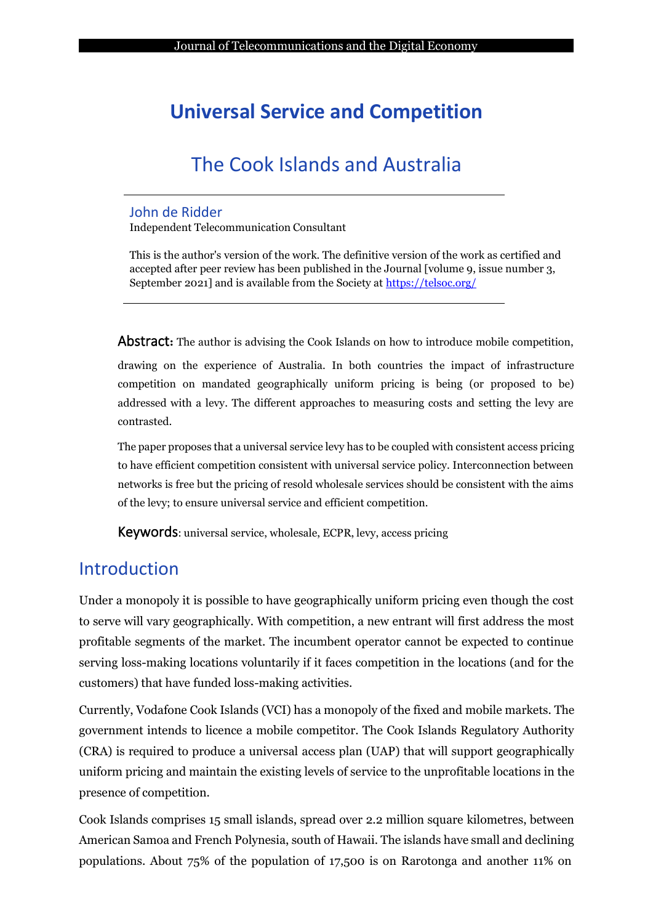# **Universal Service and Competition**

# The Cook Islands and Australia

#### John de Ridder

Independent Telecommunication Consultant

This is the author's version of the work. The definitive version of the work as certified and accepted after peer review has been published in the Journal [volume 9, issue number 3, September 2021] and is available from the Society at<https://telsoc.org/>

Abstract**:** The author is advising the Cook Islands on how to introduce mobile competition,

drawing on the experience of Australia. In both countries the impact of infrastructure competition on mandated geographically uniform pricing is being (or proposed to be) addressed with a levy. The different approaches to measuring costs and setting the levy are contrasted.

The paper proposes that a universal service levy has to be coupled with consistent access pricing to have efficient competition consistent with universal service policy. Interconnection between networks is free but the pricing of resold wholesale services should be consistent with the aims of the levy; to ensure universal service and efficient competition.

Keywords: universal service, wholesale, ECPR, levy, access pricing

## Introduction

Under a monopoly it is possible to have geographically uniform pricing even though the cost to serve will vary geographically. With competition, a new entrant will first address the most profitable segments of the market. The incumbent operator cannot be expected to continue serving loss-making locations voluntarily if it faces competition in the locations (and for the customers) that have funded loss-making activities.

Currently, Vodafone Cook Islands (VCI) has a monopoly of the fixed and mobile markets. The government intends to licence a mobile competitor. The Cook Islands Regulatory Authority (CRA) is required to produce a universal access plan (UAP) that will support geographically uniform pricing and maintain the existing levels of service to the unprofitable locations in the presence of competition.

Cook Islands comprises 15 small islands, spread over 2.2 million square kilometres, between American Samoa and French Polynesia, south of Hawaii. The islands have small and declining populations. About 75% of the population of 17,500 is on Rarotonga and another 11% on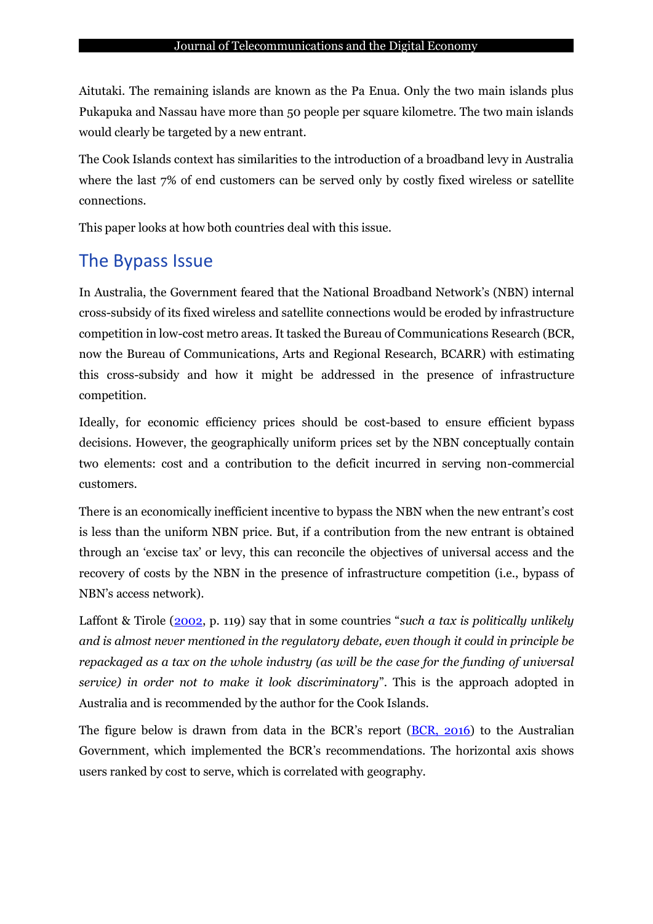Aitutaki. The remaining islands are known as the Pa Enua. Only the two main islands plus Pukapuka and Nassau have more than 50 people per square kilometre. The two main islands would clearly be targeted by a new entrant.

The Cook Islands context has similarities to the introduction of a broadband levy in Australia where the last 7% of end customers can be served only by costly fixed wireless or satellite connections.

This paper looks at how both countries deal with this issue.

## The Bypass Issue

In Australia, the Government feared that the National Broadband Network's (NBN) internal cross-subsidy of its fixed wireless and satellite connections would be eroded by infrastructure competition in low-cost metro areas. It tasked the Bureau of Communications Research (BCR, now the Bureau of Communications, Arts and Regional Research, BCARR) with estimating this cross-subsidy and how it might be addressed in the presence of infrastructure competition.

Ideally, for economic efficiency prices should be cost-based to ensure efficient bypass decisions. However, the geographically uniform prices set by the NBN conceptually contain two elements: cost and a contribution to the deficit incurred in serving non-commercial customers.

There is an economically inefficient incentive to bypass the NBN when the new entrant's cost is less than the uniform NBN price. But, if a contribution from the new entrant is obtained through an 'excise tax' or levy, this can reconcile the objectives of universal access and the recovery of costs by the NBN in the presence of infrastructure competition (i.e., bypass of NBN's access network).

Laffont & Tirole [\(2002](#page-15-0), p. 119) say that in some countries "*such a tax is politically unlikely and is almost never mentioned in the regulatory debate, even though it could in principle be repackaged as a tax on the whole industry (as will be the case for the funding of universal service) in order not to make it look discriminatory*". This is the approach adopted in Australia and is recommended by the author for the Cook Islands.

The figure below is drawn from data in the BCR's report ([BCR, 2016\)](#page-15-1) to the Australian Government, which implemented the BCR's recommendations. The horizontal axis shows users ranked by cost to serve, which is correlated with geography.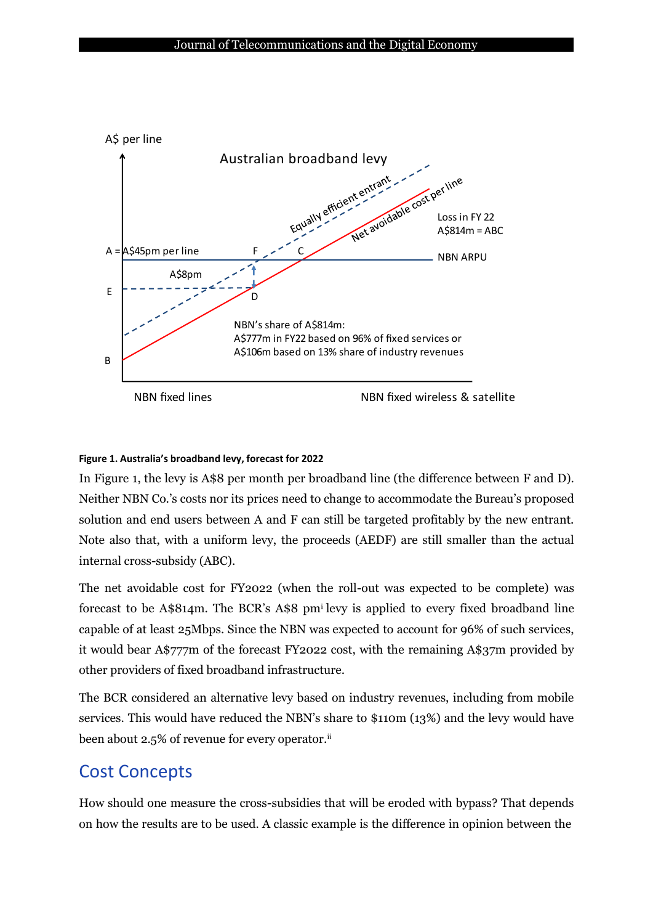

#### **Figure 1. Australia's broadband levy, forecast for 2022**

In Figure 1, the levy is A\$8 per month per broadband line (the difference between F and D). Neither NBN Co.'s costs nor its prices need to change to accommodate the Bureau's proposed solution and end users between A and F can still be targeted profitably by the new entrant. Note also that, with a uniform levy, the proceeds (AEDF) are still smaller than the actual internal cross-subsidy (ABC).

The net avoidable cost for FY2022 (when the roll-out was expected to be complete) was forecast to be A\$814m. The BCR's A\$8 pm<sup>i</sup> levy is applied to every fixed broadband line capable of at least 25Mbps. Since the NBN was expected to account for 96% of such services, it would bear A\$777m of the forecast FY2022 cost, with the remaining A\$37m provided by other providers of fixed broadband infrastructure.

The BCR considered an alternative levy based on industry revenues, including from mobile services. This would have reduced the NBN's share to \$110m (13%) and the levy would have been about 2.5% of revenue for every operator.<sup>ii</sup>

## Cost Concepts

How should one measure the cross-subsidies that will be eroded with bypass? That depends on how the results are to be used. A classic example is the difference in opinion between the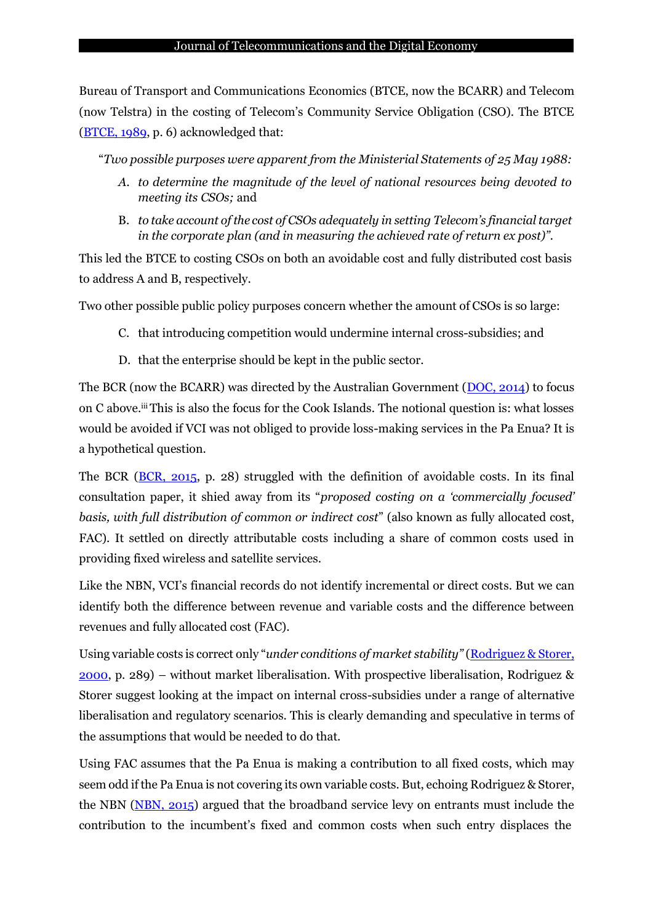Bureau of Transport and Communications Economics (BTCE, now the BCARR) and Telecom (now Telstra) in the costing of Telecom's Community Service Obligation (CSO). The BTCE  $(BTCE, 1989, p. 6)$  $(BTCE, 1989, p. 6)$  acknowledged that:

"*Two possible purposes were apparent from the Ministerial Statements of 25 May 1988:*

- *A. to determine the magnitude of the level of national resources being devoted to meeting its CSOs;* and
- B. *to take account of the cost of CSOs adequately in setting Telecom's financial target in the corporate plan (and in measuring the achieved rate of return ex post)".*

This led the BTCE to costing CSOs on both an avoidable cost and fully distributed cost basis to address A and B, respectively.

Two other possible public policy purposes concern whether the amount of CSOs is so large:

- C. that introducing competition would undermine internal cross-subsidies; and
- D. that the enterprise should be kept in the public sector.

The BCR (now the BCARR) was directed by the Australian Government  $(DOC, 2014)$  to focus on C above.iii This is also the focus for the Cook Islands. The notional question is: what losses would be avoided if VCI was not obliged to provide loss-making services in the Pa Enua? It is a hypothetical question.

The BCR [\(BCR, 2015,](#page-15-4) p. 28) struggled with the definition of avoidable costs. In its final consultation paper, it shied away from its "*proposed costing on a 'commercially focused' basis, with full distribution of common or indirect cost*" (also known as fully allocated cost, FAC). It settled on directly attributable costs including a share of common costs used in providing fixed wireless and satellite services.

Like the NBN, VCI's financial records do not identify incremental or direct costs. But we can identify both the difference between revenue and variable costs and the difference between revenues and fully allocated cost (FAC).

Using variable costs is correct only "*under conditions of market stability"* [\(Rodriguez](#page-16-0) & Storer, [2000,](#page-16-0) p. 289) *–* without market liberalisation. With prospective liberalisation, Rodriguez & Storer suggest looking at the impact on internal cross-subsidies under a range of alternative liberalisation and regulatory scenarios. This is clearly demanding and speculative in terms of the assumptions that would be needed to do that.

Using FAC assumes that the Pa Enua is making a contribution to all fixed costs, which may seem odd if the Pa Enua is not covering its own variable costs. But, echoing Rodriguez & Storer, the NBN [\(NBN, 2015\)](#page-15-5) argued that the broadband service levy on entrants must include the contribution to the incumbent's fixed and common costs when such entry displaces the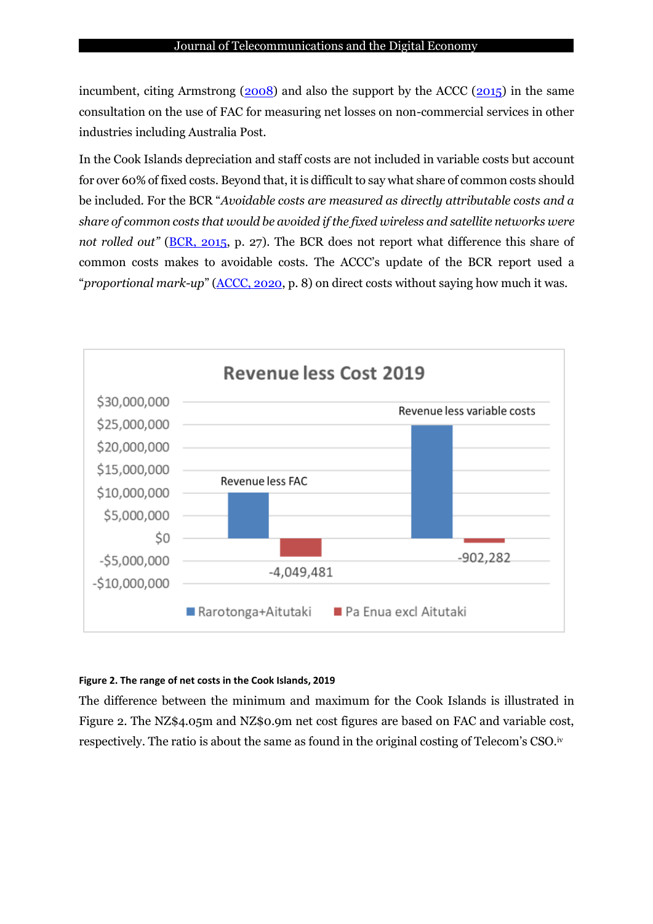incumbent, citing Armstrong  $(2008)$  and also the support by the ACCC  $(2015)$  in the same consultation on the use of FAC for measuring net losses on non-commercial services in other industries including Australia Post.

In the Cook Islands depreciation and staff costs are not included in variable costs but account for over 60% of fixed costs. Beyond that, it is difficult to say what share of common costs should be included. For the BCR "*Avoidable costs are measured as directly attributable costs and a share of common costs that would be avoided if the fixed wireless and satellite networks were not rolled out"* [\(BCR, 2015,](#page-15-4) p. 27). The BCR does not report what difference this share of common costs makes to avoidable costs. The ACCC's update of the BCR report used a "*proportional mark-up*" [\(ACCC,](#page-14-2) 2020, p. 8) on direct costs without saying how much it was.



#### **Figure 2. The range of net costs in the Cook Islands, 2019**

The difference between the minimum and maximum for the Cook Islands is illustrated in Figure 2. The NZ\$4.05m and NZ\$0.9m net cost figures are based on FAC and variable cost, respectively. The ratio is about the same as found in the original costing of Telecom's CSO.<sup>iv</sup>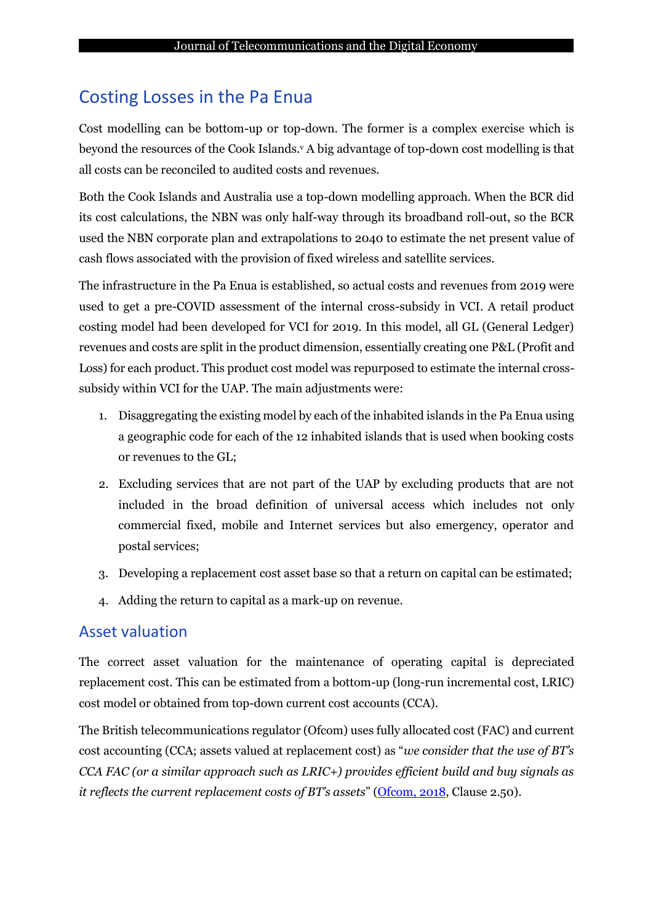## Costing Losses in the Pa Enua

Cost modelling can be bottom-up or top-down. The former is a complex exercise which is beyond the resources of the Cook Islands.<sup>v</sup> A big advantage of top-down cost modelling is that all costs can be reconciled to audited costs and revenues.

Both the Cook Islands and Australia use a top-down modelling approach. When the BCR did its cost calculations, the NBN was only half-way through its broadband roll-out, so the BCR used the NBN corporate plan and extrapolations to 2040 to estimate the net present value of cash flows associated with the provision of fixed wireless and satellite services.

The infrastructure in the Pa Enua is established, so actual costs and revenues from 2019 were used to get a pre-COVID assessment of the internal cross-subsidy in VCI. A retail product costing model had been developed for VCI for 2019. In this model, all GL (General Ledger) revenues and costs are split in the product dimension, essentially creating one P&L (Profit and Loss) for each product. This product cost model was repurposed to estimate the internal crosssubsidy within VCI for the UAP. The main adjustments were:

- 1. Disaggregating the existing model by each of the inhabited islands in the Pa Enua using a geographic code for each of the 12 inhabited islands that is used when booking costs or revenues to the GL;
- 2. Excluding services that are not part of the UAP by excluding products that are not included in the broad definition of universal access which includes not only commercial fixed, mobile and Internet services but also emergency, operator and postal services;
- 3. Developing a replacement cost asset base so that a return on capital can be estimated;
- 4. Adding the return to capital as a mark-up on revenue.

### Asset valuation

The correct asset valuation for the maintenance of operating capital is depreciated replacement cost. This can be estimated from a bottom-up (long-run incremental cost, LRIC) cost model or obtained from top-down current cost accounts (CCA).

The British telecommunications regulator (Ofcom) uses fully allocated cost (FAC) and current cost accounting (CCA; assets valued at replacement cost) as "*we consider that the use of BT's CCA FAC (or a similar approach such as LRIC+) provides efficient build and buy signals as it reflects the current replacement costs of BT*'s *assets*" [\(Ofcom,](#page-15-6) 2018, Clause 2.50).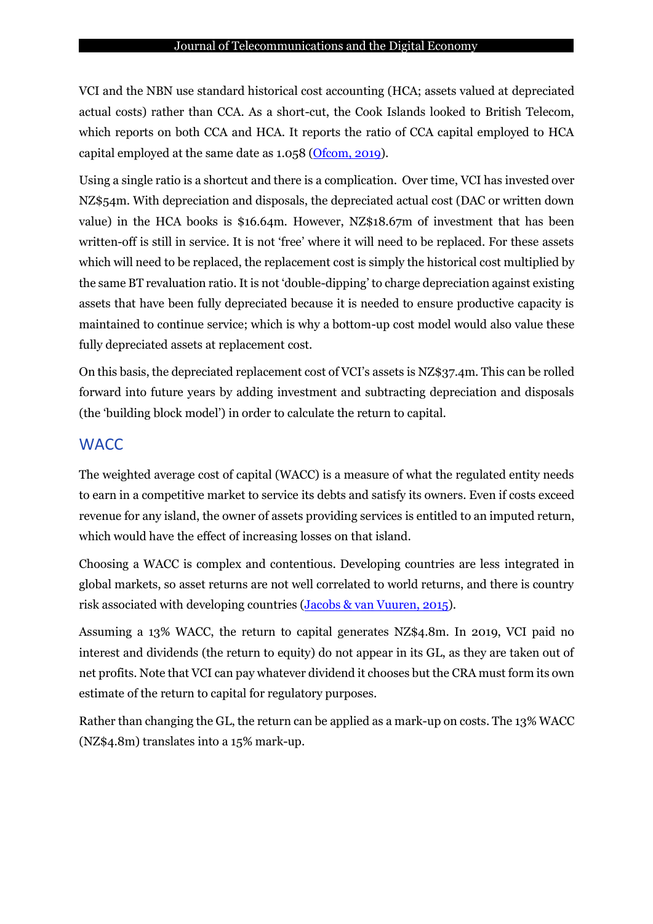VCI and the NBN use standard historical cost accounting (HCA; assets valued at depreciated actual costs) rather than CCA. As a short-cut, the Cook Islands looked to British Telecom, which reports on both CCA and HCA. It reports the ratio of CCA capital employed to HCA capital employed at the same date as 1.058 [\(Ofcom, 2019\)](#page-16-1).

Using a single ratio is a shortcut and there is a complication. Over time, VCI has invested over NZ\$54m. With depreciation and disposals, the depreciated actual cost (DAC or written down value) in the HCA books is \$16.64m. However, NZ\$18.67m of investment that has been written-off is still in service. It is not 'free' where it will need to be replaced. For these assets which will need to be replaced, the replacement cost is simply the historical cost multiplied by the same BT revaluation ratio. It is not 'double-dipping' to charge depreciation against existing assets that have been fully depreciated because it is needed to ensure productive capacity is maintained to continue service; which is why a bottom-up cost model would also value these fully depreciated assets at replacement cost.

On this basis, the depreciated replacement cost of VCI's assets is NZ\$37.4m. This can be rolled forward into future years by adding investment and subtracting depreciation and disposals (the 'building block model') in order to calculate the return to capital.

#### **WACC**

The weighted average cost of capital (WACC) is a measure of what the regulated entity needs to earn in a competitive market to service its debts and satisfy its owners. Even if costs exceed revenue for any island, the owner of assets providing services is entitled to an imputed return, which would have the effect of increasing losses on that island.

Choosing a WACC is complex and contentious. Developing countries are less integrated in global markets, so asset returns are not well correlated to world returns, and there is country risk associated with developing countries (Jacobs & van [Vuuren,](#page-15-7) 2015).

Assuming a 13% WACC, the return to capital generates NZ\$4.8m. In 2019, VCI paid no interest and dividends (the return to equity) do not appear in its GL, as they are taken out of net profits. Note that VCI can pay whatever dividend it chooses but the CRA must form its own estimate of the return to capital for regulatory purposes.

Rather than changing the GL, the return can be applied as a mark-up on costs. The 13% WACC (NZ\$4.8m) translates into a 15% mark-up.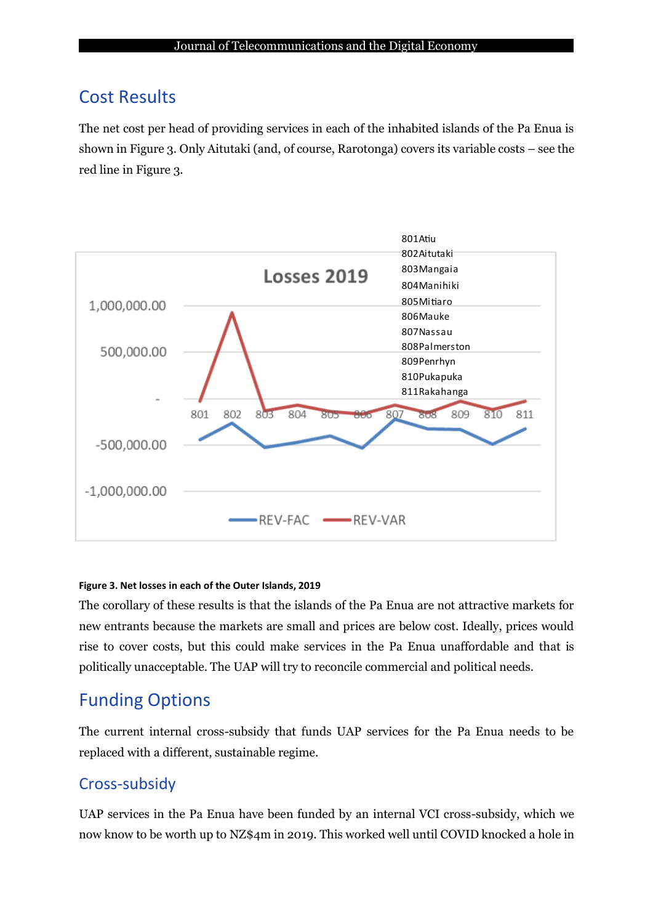## Cost Results

The net cost per head of providing services in each of the inhabited islands of the Pa Enua is shown in Figure 3. Only Aitutaki (and, of course, Rarotonga) covers its variable costs – see the red line in Figure 3.



#### **Figure 3. Net losses in each of the Outer Islands, 2019**

The corollary of these results is that the islands of the Pa Enua are not attractive markets for new entrants because the markets are small and prices are below cost. Ideally, prices would rise to cover costs, but this could make services in the Pa Enua unaffordable and that is politically unacceptable. The UAP will try to reconcile commercial and political needs.

## Funding Options

The current internal cross-subsidy that funds UAP services for the Pa Enua needs to be replaced with a different, sustainable regime.

## Cross-subsidy

UAP services in the Pa Enua have been funded by an internal VCI cross-subsidy, which we now know to be worth up to NZ\$4m in 2019. This worked well until COVID knocked a hole in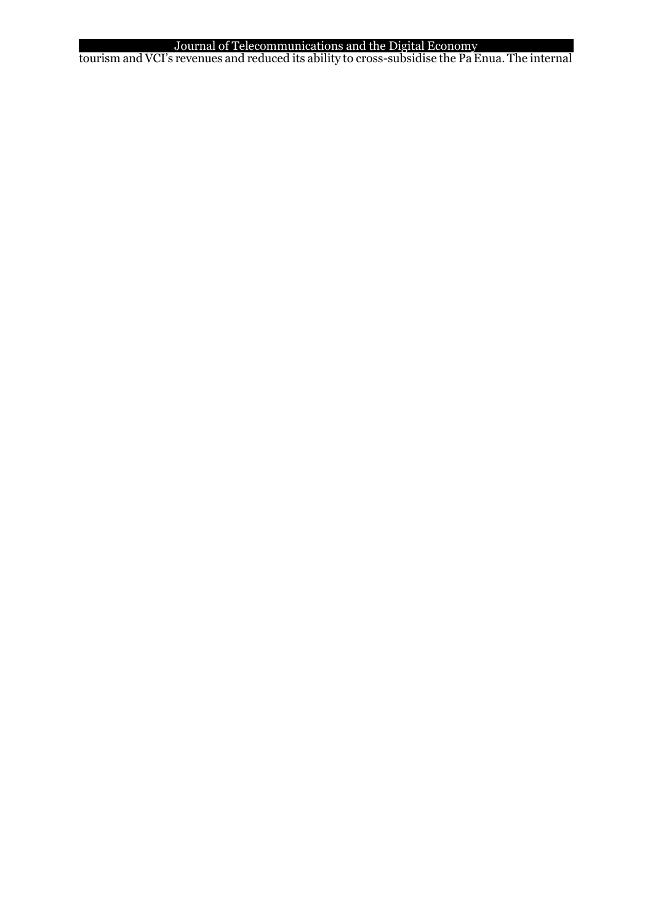#### Journal of Telecommunications and the Digital Economy

tourism and VCI's revenues and reduced its ability to cross-subsidise the Pa Enua. The internal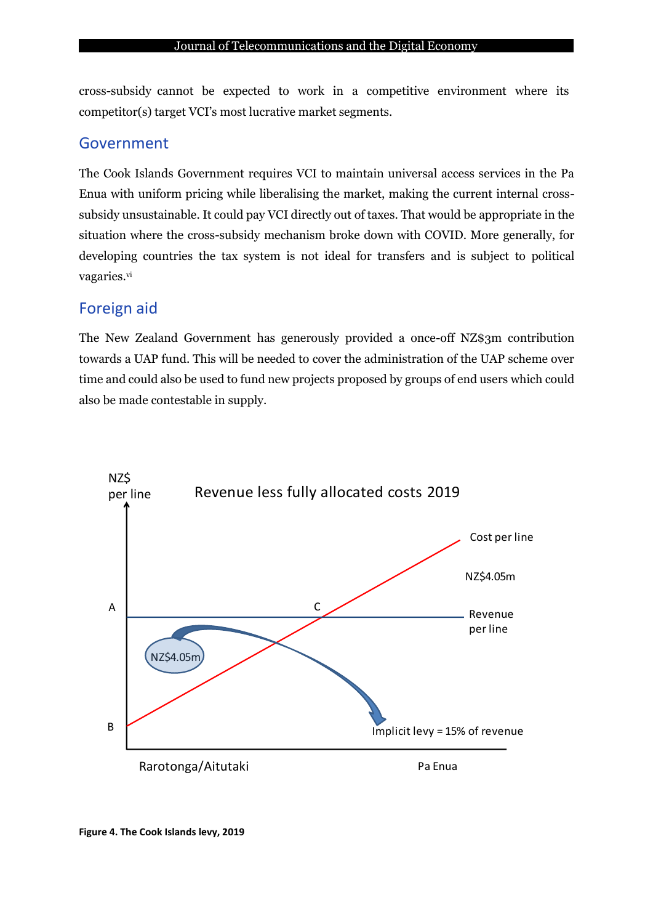cross-subsidy cannot be expected to work in a competitive environment where its competitor(s) target VCI's most lucrative market segments.

### Government

The Cook Islands Government requires VCI to maintain universal access services in the Pa Enua with uniform pricing while liberalising the market, making the current internal crosssubsidy unsustainable. It could pay VCI directly out of taxes. That would be appropriate in the situation where the cross-subsidy mechanism broke down with COVID. More generally, for developing countries the tax system is not ideal for transfers and is subject to political vagaries.vi

### Foreign aid

The New Zealand Government has generously provided a once-off NZ\$3m contribution towards a UAP fund. This will be needed to cover the administration of the UAP scheme over time and could also be used to fund new projects proposed by groups of end users which could also be made contestable in supply.

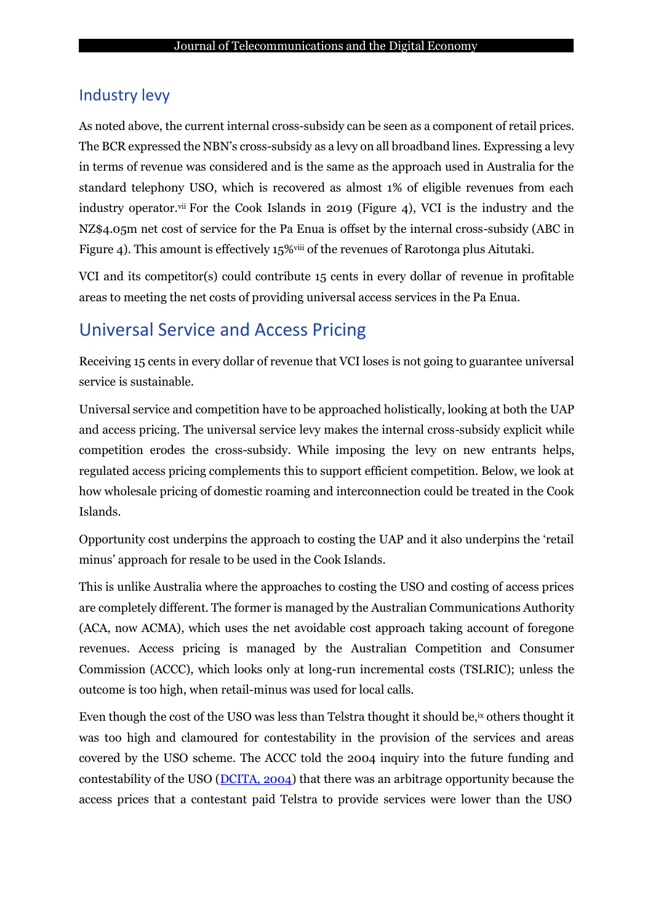### Industry levy

As noted above, the current internal cross-subsidy can be seen as a component of retail prices. The BCR expressed the NBN's cross-subsidy as a levy on all broadband lines. Expressing a levy in terms of revenue was considered and is the same as the approach used in Australia for the standard telephony USO, which is recovered as almost 1% of eligible revenues from each industry operator.vii For the Cook Islands in 2019 (Figure 4), VCI is the industry and the NZ\$4.05m net cost of service for the Pa Enua is offset by the internal cross-subsidy (ABC in Figure 4). This amount is effectively 15%<sup>viii</sup> of the revenues of Rarotonga plus Aitutaki.

VCI and its competitor(s) could contribute 15 cents in every dollar of revenue in profitable areas to meeting the net costs of providing universal access services in the Pa Enua.

# Universal Service and Access Pricing

Receiving 15 cents in every dollar of revenue that VCI loses is not going to guarantee universal service is sustainable.

Universal service and competition have to be approached holistically, looking at both the UAP and access pricing. The universal service levy makes the internal cross-subsidy explicit while competition erodes the cross-subsidy. While imposing the levy on new entrants helps, regulated access pricing complements this to support efficient competition. Below, we look at how wholesale pricing of domestic roaming and interconnection could be treated in the Cook Islands.

Opportunity cost underpins the approach to costing the UAP and it also underpins the 'retail minus' approach for resale to be used in the Cook Islands.

This is unlike Australia where the approaches to costing the USO and costing of access prices are completely different. The former is managed by the Australian Communications Authority (ACA, now ACMA), which uses the net avoidable cost approach taking account of foregone revenues. Access pricing is managed by the Australian Competition and Consumer Commission (ACCC), which looks only at long-run incremental costs (TSLRIC); unless the outcome is too high, when retail-minus was used for local calls.

Even though the cost of the USO was less than Telstra thought it should be,<sup>ix</sup> others thought it was too high and clamoured for contestability in the provision of the services and areas covered by the USO scheme. The ACCC told the 2004 inquiry into the future funding and contestability of the USO [\(DCITA, 2004\)](#page-15-8) that there was an arbitrage opportunity because the access prices that a contestant paid Telstra to provide services were lower than the USO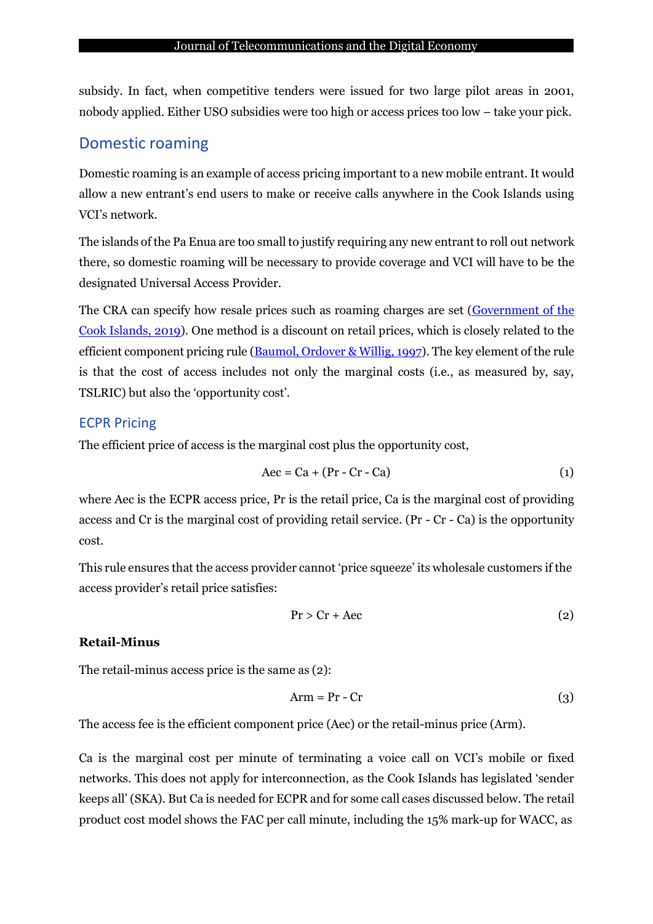subsidy. In fact, when competitive tenders were issued for two large pilot areas in 2001, nobody applied. Either USO subsidies were too high or access prices too low – take your pick.

### Domestic roaming

Domestic roaming is an example of access pricing important to a new mobile entrant. It would allow a new entrant's end users to make or receive calls anywhere in the Cook Islands using VCI's network.

The islands of the Pa Enua are too small to justify requiring any new entrant to roll out network there, so domestic roaming will be necessary to provide coverage and VCI will have to be the designated Universal Access Provider.

The CRA can specify how resale prices such as roaming charges are set [\(Government of the](#page-15-9) [Cook Islands, 2019\)](#page-15-9). One method is a discount on retail prices, which is closely related to the efficient component pricing rule [\(Baumol,](#page-14-3) Ordover & Willig, 1997). The key element of the rule is that the cost of access includes not only the marginal costs (i.e., as measured by, say, TSLRIC) but also the 'opportunity cost'.

### ECPR Pricing

The efficient price of access is the marginal cost plus the opportunity cost,

$$
Aec = Ca + (Pr - Cr - Ca)
$$
 (1)

where Aec is the ECPR access price, Pr is the retail price, Ca is the marginal cost of providing access and Cr is the marginal cost of providing retail service. (Pr - Cr - Ca) is the opportunity cost.

This rule ensures that the access provider cannot 'price squeeze' its wholesale customers if the access provider's retail price satisfies:

$$
Pr > Cr + Acc \tag{2}
$$

#### **Retail-Minus**

The retail-minus access price is the same as (2):

$$
Arm = Pr - Cr \tag{3}
$$

The access fee is the efficient component price (Aec) or the retail-minus price (Arm).

Ca is the marginal cost per minute of terminating a voice call on VCI's mobile or fixed networks. This does not apply for interconnection, as the Cook Islands has legislated 'sender keeps all' (SKA). But Ca is needed for ECPR and for some call cases discussed below. The retail product cost model shows the FAC per call minute, including the 15% mark-up for WACC, as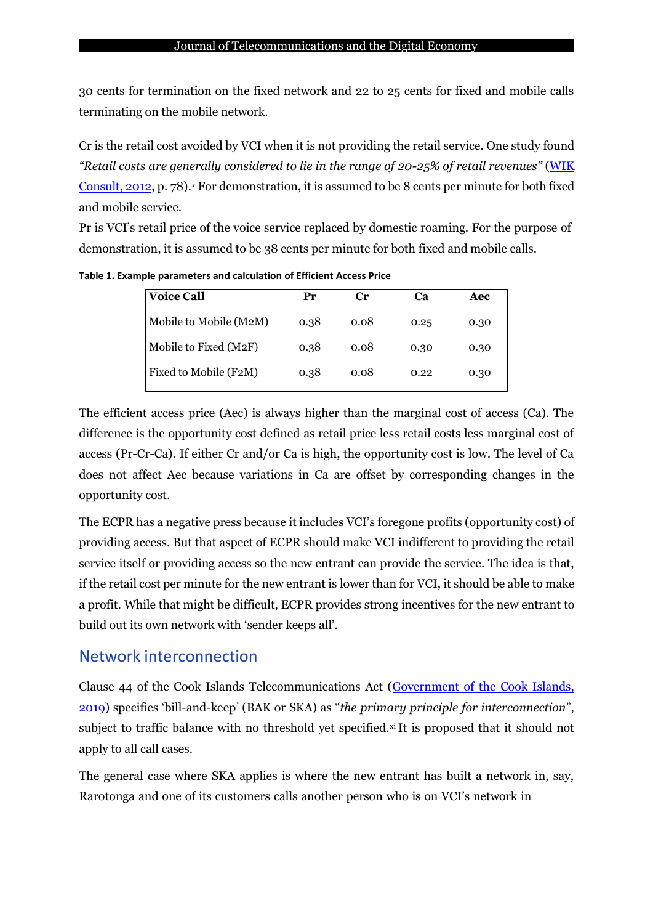30 cents for termination on the fixed network and 22 to 25 cents for fixed and mobile calls terminating on the mobile network.

Cr is the retail cost avoided by VCI when it is not providing the retail service. One study found *"Retail costs are generally considered to lie in the range of 20-25% of retail revenues"* [\(WIK](#page-16-2) [Consult,](#page-16-2) 2012, p. 78).*<sup>x</sup>* For demonstration, it is assumed to be 8 cents per minute for both fixed and mobile service.

Pr is VCI's retail price of the voice service replaced by domestic roaming. For the purpose of demonstration, it is assumed to be 38 cents per minute for both fixed and mobile calls.

| <b>Voice Call</b>      | Pr   | Cг   | Ca   | Aec  |
|------------------------|------|------|------|------|
| Mobile to Mobile (M2M) | 0.38 | 0.08 | 0.25 | 0.30 |
| Mobile to Fixed (M2F)  | 0.38 | 0.08 | 0.30 | 0.30 |
| Fixed to Mobile (F2M)  | 0.38 | 0.08 | 0.22 | 0.30 |
|                        |      |      |      |      |

**Table 1. Example parameters and calculation of Efficient Access Price**

The efficient access price (Aec) is always higher than the marginal cost of access (Ca). The difference is the opportunity cost defined as retail price less retail costs less marginal cost of access (Pr-Cr-Ca). If either Cr and/or Ca is high, the opportunity cost is low. The level of Ca does not affect Aec because variations in Ca are offset by corresponding changes in the opportunity cost.

The ECPR has a negative press because it includes VCI's foregone profits (opportunity cost) of providing access. But that aspect of ECPR should make VCI indifferent to providing the retail service itself or providing access so the new entrant can provide the service. The idea is that, if the retail cost per minute for the new entrant is lower than for VCI, it should be able to make a profit. While that might be difficult, ECPR provides strong incentives for the new entrant to build out its own network with 'sender keeps all'.

### Network interconnection

Clause 44 of the Cook Islands Telecommunications Act [\(Government of the Cook Islands,](#page-15-9) [2019](#page-15-9)) specifies 'bill-and-keep' (BAK or SKA) as "*the primary principle for interconnection*", subject to traffic balance with no threshold yet specified.<sup>xi</sup> It is proposed that it should not apply to all call cases.

The general case where SKA applies is where the new entrant has built a network in, say, Rarotonga and one of its customers calls another person who is on VCI's network in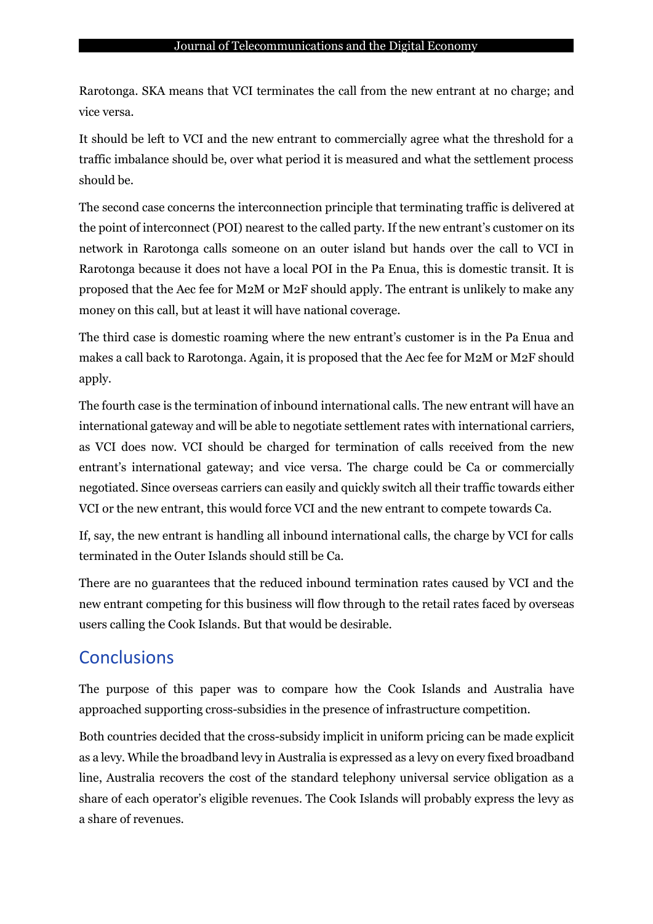Rarotonga. SKA means that VCI terminates the call from the new entrant at no charge; and vice versa.

It should be left to VCI and the new entrant to commercially agree what the threshold for a traffic imbalance should be, over what period it is measured and what the settlement process should be.

The second case concerns the interconnection principle that terminating traffic is delivered at the point of interconnect (POI) nearest to the called party. If the new entrant's customer on its network in Rarotonga calls someone on an outer island but hands over the call to VCI in Rarotonga because it does not have a local POI in the Pa Enua, this is domestic transit. It is proposed that the Aec fee for M2M or M2F should apply. The entrant is unlikely to make any money on this call, but at least it will have national coverage.

The third case is domestic roaming where the new entrant's customer is in the Pa Enua and makes a call back to Rarotonga. Again, it is proposed that the Aec fee for M2M or M2F should apply.

The fourth case is the termination of inbound international calls. The new entrant will have an international gateway and will be able to negotiate settlement rates with international carriers, as VCI does now. VCI should be charged for termination of calls received from the new entrant's international gateway; and vice versa. The charge could be Ca or commercially negotiated. Since overseas carriers can easily and quickly switch all their traffic towards either VCI or the new entrant, this would force VCI and the new entrant to compete towards Ca.

If, say, the new entrant is handling all inbound international calls, the charge by VCI for calls terminated in the Outer Islands should still be Ca.

There are no guarantees that the reduced inbound termination rates caused by VCI and the new entrant competing for this business will flow through to the retail rates faced by overseas users calling the Cook Islands. But that would be desirable.

## **Conclusions**

The purpose of this paper was to compare how the Cook Islands and Australia have approached supporting cross-subsidies in the presence of infrastructure competition.

Both countries decided that the cross-subsidy implicit in uniform pricing can be made explicit as a levy. While the broadband levy in Australia is expressed as a levy on every fixed broadband line, Australia recovers the cost of the standard telephony universal service obligation as a share of each operator's eligible revenues. The Cook Islands will probably express the levy as a share of revenues.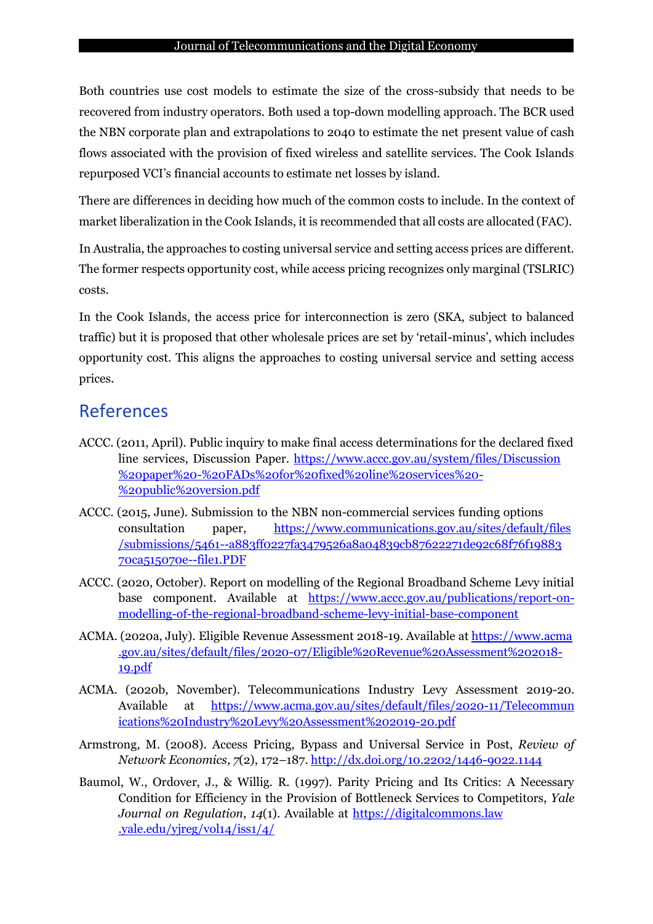#### Journal of Telecommunications and the Digital Economy

Both countries use cost models to estimate the size of the cross-subsidy that needs to be recovered from industry operators. Both used a top-down modelling approach. The BCR used the NBN corporate plan and extrapolations to 2040 to estimate the net present value of cash flows associated with the provision of fixed wireless and satellite services. The Cook Islands repurposed VCI's financial accounts to estimate net losses by island.

There are differences in deciding how much of the common costs to include. In the context of market liberalization in the Cook Islands, it is recommended that all costs are allocated (FAC).

In Australia, the approaches to costing universal service and setting access prices are different. The former respects opportunity cost, while access pricing recognizes only marginal (TSLRIC) costs.

In the Cook Islands, the access price for interconnection is zero (SKA, subject to balanced traffic) but it is proposed that other wholesale prices are set by 'retail-minus', which includes opportunity cost. This aligns the approaches to costing universal service and setting access prices.

## References

- <span id="page-14-4"></span>ACCC. (2011, April). Public inquiry to make final access determinations for the declared fixed line services, Discussion Paper. [https://www.accc.gov.au/system/files/Discussion](https://www.accc.gov.au/system/files/Discussion%20paper%20-%20FADs%20for%20fixed%20line%20services%20-%20public%20version.pdf) [%20paper%20-%20FADs%20for%20fixed%20line%20services%20-](https://www.accc.gov.au/system/files/Discussion%20paper%20-%20FADs%20for%20fixed%20line%20services%20-%20public%20version.pdf) [%20public%20version.pdf](https://www.accc.gov.au/system/files/Discussion%20paper%20-%20FADs%20for%20fixed%20line%20services%20-%20public%20version.pdf)
- <span id="page-14-1"></span>ACCC. (2015, June). Submission to the NBN non-commercial services funding options consultation paper, [https://www.communications.gov.au/sites/default/files](https://www.communications.gov.au/sites/default/files/submissions/5461--a883ff0227fa3479526a8a04839cb87622271de92c68f76f1988370ca515070e--file1.PDF) [/submissions/5461--a883ff0227fa3479526a8a04839cb87622271de92c68f76f19883](https://www.communications.gov.au/sites/default/files/submissions/5461--a883ff0227fa3479526a8a04839cb87622271de92c68f76f1988370ca515070e--file1.PDF) [70ca515070e--file1.PDF](https://www.communications.gov.au/sites/default/files/submissions/5461--a883ff0227fa3479526a8a04839cb87622271de92c68f76f1988370ca515070e--file1.PDF)
- <span id="page-14-2"></span>ACCC. (2020, October). Report on modelling of the Regional Broadband Scheme Levy initial base component. Available at [https://www.accc.gov.au/publications/report-on](https://www.accc.gov.au/publications/report-on-modelling-of-the-regional-broadband-scheme-levy-initial-base-component)[modelling-of-the-regional-broadband-scheme-levy-initial-base-component](https://www.accc.gov.au/publications/report-on-modelling-of-the-regional-broadband-scheme-levy-initial-base-component)
- <span id="page-14-6"></span>ACMA. (2020a, July). Eligible Revenue Assessment 2018-19. Available at [https://www.acma](https://www.acma.gov.au/sites/default/files/2020-07/Eligible%20Revenue%20Assessment%202018-19.pdf) [.gov.au/sites/default/files/2020-07/Eligible%20Revenue%20Assessment%202018-](https://www.acma.gov.au/sites/default/files/2020-07/Eligible%20Revenue%20Assessment%202018-19.pdf) [19.pdf](https://www.acma.gov.au/sites/default/files/2020-07/Eligible%20Revenue%20Assessment%202018-19.pdf)
- <span id="page-14-5"></span>ACMA. (2020b, November). Telecommunications Industry Levy Assessment 2019-20. Available at [https://www.acma.gov.au/sites/default/files/2020-11/Telecommun](https://www.acma.gov.au/sites/default/files/2020-11/Telecommunâ€Œications%20Industry%20Levy%20Assessment%202019-20.pdf) [ications%20Industry%20Levy%20Assessment%202019-20.pdf](https://www.acma.gov.au/sites/default/files/2020-11/Telecommunâ€Œications%20Industry%20Levy%20Assessment%202019-20.pdf)
- <span id="page-14-0"></span>Armstrong, M. (2008). Access Pricing, Bypass and Universal Service in Post, *Review of Network Economics*, *7*(2), 172–187. <http://dx.doi.org/10.2202/1446-9022.1144>
- <span id="page-14-3"></span>Baumol, W., Ordover, J., & Willig. R. (1997). Parity Pricing and Its Critics: A Necessary Condition for Efficiency in the Provision of Bottleneck Services to Competitors, *Yale Journal on Regulation*, *14*(1). Available at [https://digitalcommons.law](https://digitalcommons.law.yale.edu/yjreg/vol14/iss1/4/) [.yale.edu/yjreg/vol14/iss1/4/](https://digitalcommons.law.yale.edu/yjreg/vol14/iss1/4/)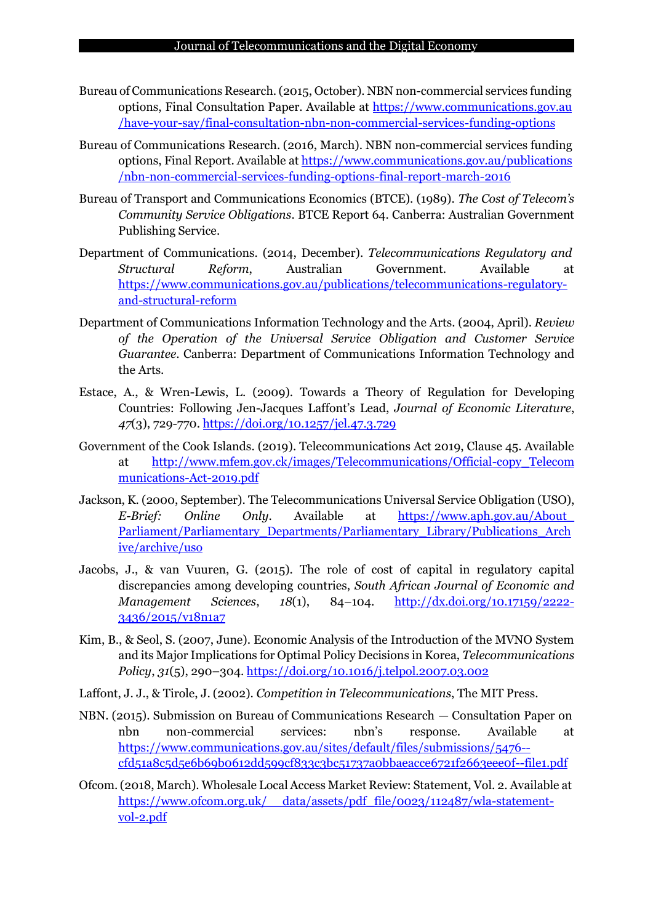- <span id="page-15-4"></span>Bureau of Communications Research.(2015, October). NBN non-commercial services funding options, Final Consultation Paper. Available at [https://www.communications.gov.au](https://www.communications.gov.au/have-your-say/final-consultation-nbn-non-commercial-services-funding-options) [/have-your-say/final-consultation-nbn-non-commercial-services-funding-options](https://www.communications.gov.au/have-your-say/final-consultation-nbn-non-commercial-services-funding-options)
- <span id="page-15-1"></span>Bureau of Communications Research. (2016, March). NBN non-commercial services funding options, Final Report. Available at [https://www.communications.gov.au/publications](https://www.communications.gov.au/publicationsâ€Œ/nbn-non-commercial-services-funding-options-final-report-march-2016) [/nbn-non-commercial-services-funding-options-final-report-march-2016](https://www.communications.gov.au/publicationsâ€Œ/nbn-non-commercial-services-funding-options-final-report-march-2016)
- <span id="page-15-2"></span>Bureau of Transport and Communications Economics (BTCE). (1989). *The Cost of Telecom's Community Service Obligations*. BTCE Report 64. Canberra: Australian Government Publishing Service.
- <span id="page-15-3"></span>Department of Communications. (2014, December). *Telecommunications Regulatory and Structural Reform*, Australian Government. Available at [https://www.communications.gov.au/publications/telecommunications-regulatory](https://www.communications.gov.au/publications/telecommunications-regulatory-and-structural-reform)[and-structural-reform](https://www.communications.gov.au/publications/telecommunications-regulatory-and-structural-reform)
- <span id="page-15-8"></span>Department of Communications Information Technology and the Arts. (2004, April). *Review of the Operation of the Universal Service Obligation and Customer Service Guarantee*. Canberra: Department of Communications Information Technology and the Arts.
- <span id="page-15-10"></span>Estace, A., & Wren-Lewis, L. (2009). Towards a Theory of Regulation for Developing Countries: Following Jen-Jacques Laffont's Lead, *Journal of Economic Literature*, *47*(3), 729-770. <https://doi.org/10.1257/jel.47.3.729>
- <span id="page-15-9"></span>Government of the Cook Islands. (2019). Telecommunications Act 2019, Clause 45. Available at [http://www.mfem.gov.ck/images/Telecommunications/Official-copy\\_Telecom](http://www.mfem.gov.ck/images/Telecommunications/Official-copy_Telecommunications-Act-2019.pdf) [munications-Act-2019.pdf](http://www.mfem.gov.ck/images/Telecommunications/Official-copy_Telecommunications-Act-2019.pdf)
- <span id="page-15-11"></span>Jackson, K. (2000, September). The Telecommunications Universal Service Obligation (USO), *E-Brief: Online Only*. Available at [https://www.aph.gov.au/About\\_](https://www.aph.gov.au/About_Parliament/Parliamentary_Departments/Parliamentary_Library/Publications_Archive/archive/uso) [Parliament/Parliamentary\\_Departments/Parliamentary\\_Library/Publications\\_Arch](https://www.aph.gov.au/About_Parliament/Parliamentary_Departments/Parliamentary_Library/Publications_Archive/archive/uso) [ive/archive/uso](https://www.aph.gov.au/About_Parliament/Parliamentary_Departments/Parliamentary_Library/Publications_Archive/archive/uso)
- <span id="page-15-7"></span>Jacobs, J., & van Vuuren, G. (2015). The role of cost of capital in regulatory capital discrepancies among developing countries, *South African Journal of Economic and Management Sciences*, *18*(1), 84–104. [http://dx.doi.org/10.17159/2222-](http://dx.doi.org/10.17159/2222-3436/2015/v18n1a7) [3436/2015/v18n1a7](http://dx.doi.org/10.17159/2222-3436/2015/v18n1a7)
- <span id="page-15-12"></span>Kim, B., & Seol, S. (2007, June). Economic Analysis of the Introduction of the MVNO System and its Major Implications for Optimal Policy Decisions in Korea, *Telecommunications Policy*, *31*(5), 290–304. <https://doi.org/10.1016/j.telpol.2007.03.002>
- <span id="page-15-0"></span>Laffont, J. J., & Tirole, J. (2002). *Competition in Telecommunications*, The MIT Press.
- <span id="page-15-5"></span>NBN. (2015). Submission on Bureau of Communications Research — Consultation Paper on nbn non-commercial services: nbn's response. Available at [https://www.communications.gov.au/sites/default/files/submissions/5476-](https://www.communications.gov.au/sites/default/files/submissions/5476--cfd51a8c5d5e6b69b0612dd599cf833c3bc51737a0bbaeacce6721f2663eee0f--file1.pdf) [cfd51a8c5d5e6b69b0612dd599cf833c3bc51737a0bbaeacce6721f2663eee0f--file1.pdf](https://www.communications.gov.au/sites/default/files/submissions/5476--cfd51a8c5d5e6b69b0612dd599cf833c3bc51737a0bbaeacce6721f2663eee0f--file1.pdf)
- <span id="page-15-6"></span>Ofcom.(2018, March). Wholesale Local Access Market Review: Statement, Vol. 2. Available at https://www.ofcom.org.uk/ [data/assets/pdf\\_file/0023/112487/wla-statement](https://www.ofcom.org.uk/__data/assets/pdf_file/0023/112487/wla-statement-vol-2.pdf)[vol-2.pdf](https://www.ofcom.org.uk/__data/assets/pdf_file/0023/112487/wla-statement-vol-2.pdf)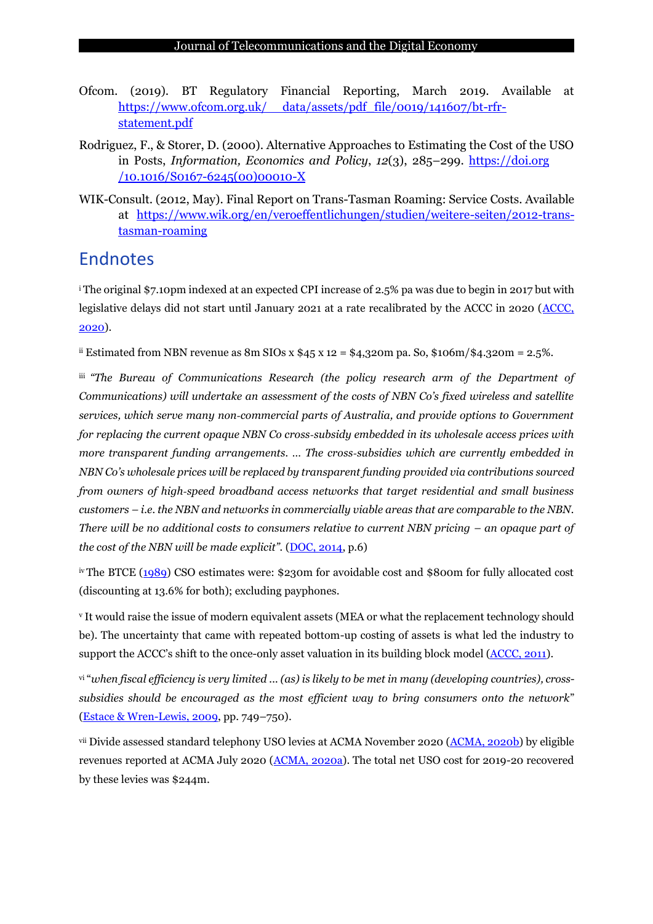- <span id="page-16-1"></span>Ofcom. (2019). BT Regulatory Financial Reporting, March 2019. Available at https://www.ofcom.org.uk/ [data/assets/pdf\\_file/0019/141607/bt-rfr](https://www.ofcom.org.uk/__data/assets/pdf_file/0019/141607/bt-rfr-statement.pdf)[statement.pdf](https://www.ofcom.org.uk/__data/assets/pdf_file/0019/141607/bt-rfr-statement.pdf)
- <span id="page-16-0"></span>Rodriguez, F., & Storer, D. (2000). Alternative Approaches to Estimating the Cost of the USO in Posts, *Information, Economics and Policy*, *12*(3), 285–299. [https://doi.org](https://doi.org/10.1016/S0167-6245(00)00010-X) [/10.1016/S0167-6245\(00\)00010-X](https://doi.org/10.1016/S0167-6245(00)00010-X)
- <span id="page-16-2"></span>WIK-Consult. (2012, May). Final Report on Trans-Tasman Roaming: Service Costs. Available at [https://www.wik.org/en/veroeffentlichungen/studien/weitere-seiten/2012-trans](https://www.wik.org/en/veroeffentlichungen/studien/weitere-seiten/2012-trans-tasman-roaming)[tasman-roaming](https://www.wik.org/en/veroeffentlichungen/studien/weitere-seiten/2012-trans-tasman-roaming)

### Endnotes

<sup>i</sup> The original \$7.10pm indexed at an expected CPI increase of 2.5% pa was due to begin in 2017 but with legislative delays did not start until January 2021 at a rate recalibrated by the ACCC in 2020 [\(ACCC,](#page-14-2) [2020\)](#page-14-2).

ii Estimated from NBN revenue as 8m SIOs x  $45 x 12 = 4,320$ m pa. So,  $106m / 4.320m = 2.5\%$ .

iii *"The Bureau of Communications Research (the policy research arm of the Department of Communications) will undertake an assessment of the costs of NBN Co's fixed wireless and satellite services, which serve many non‐commercial parts of Australia, and provide options to Government for replacing the current opaque NBN Co cross‐subsidy embedded in its wholesale access prices with more transparent funding arrangements. … The cross‐subsidies which are currently embedded in NBN Co's wholesale prices will be replaced by transparent funding provided via contributions sourced from owners of high‐speed broadband access networks that target residential and small business customers – i.e. the NBN and networks in commercially viable areas that are comparable to the NBN. There will be no additional costs to consumers relative to current NBN pricing – an opaque part of the* cost of the NBN will be made explicit". [\(DOC,](#page-15-3) 2014, p.6)

iv The BTCE [\(1989\)](#page-15-2) CSO estimates were: \$230m for avoidable cost and \$800m for fully allocated cost (discounting at 13.6% for both); excluding payphones.

<sup>v</sup> It would raise the issue of modern equivalent assets (MEA or what the replacement technology should be). The uncertainty that came with repeated bottom-up costing of assets is what led the industry to support the ACCC's shift to the once-only asset valuation in its building block model [\(ACCC,](#page-14-4) 2011).

vi "when fiscal efficiency is very limited ... (as) is likely to be met in many (developing countries), cross*subsidies should be encouraged as the most efficient way to bring consumers onto the network*" (Estace & [Wren-Lewis,](#page-15-10) 2009, pp. 749–750).

vii Divide assessed standard telephony USO levies at ACMA November 2020 [\(ACMA,](#page-14-5) 2020b) by eligible revenues reported at ACMA July 2020 [\(ACMA, 2020a\)](#page-14-6). The total net USO cost for 2019-20 recovered by these levies was \$244m.